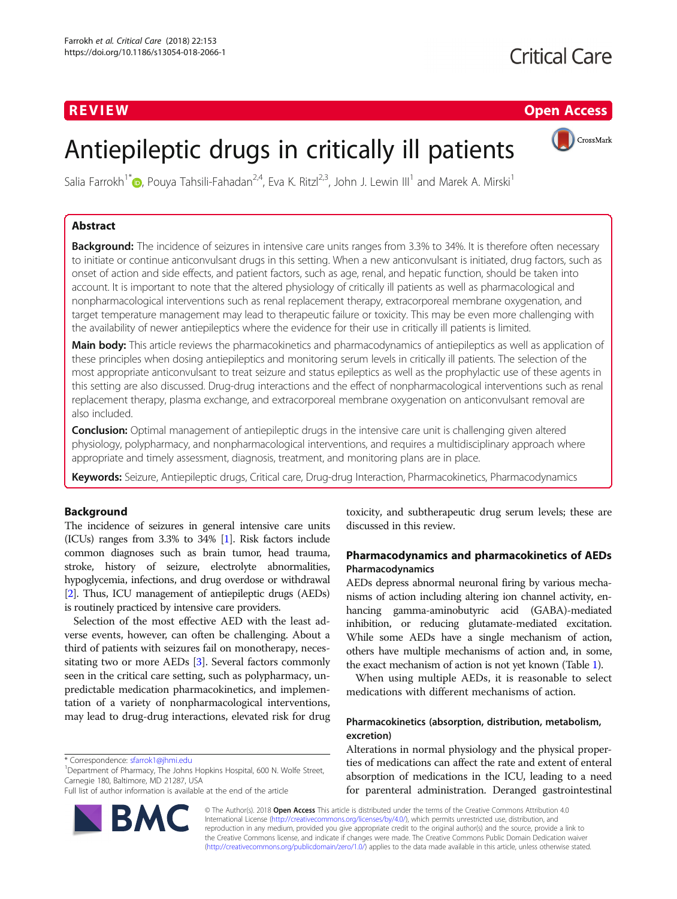# **Critical Care**

# R EVI EW Open Access



# Antiepileptic drugs in critically ill patients

Salia Farrokh<sup>1[\\*](http://orcid.org/0000-0003-2199-0552)</sup> , Pouya Tahsili-Fahadan<sup>2,4</sup>, Eva K. Ritzl<sup>2,3</sup>, John J. Lewin III<sup>1</sup> and Marek A. Mirski<sup>1</sup>

# Abstract

Background: The incidence of seizures in intensive care units ranges from 3.3% to 34%. It is therefore often necessary to initiate or continue anticonvulsant drugs in this setting. When a new anticonvulsant is initiated, drug factors, such as onset of action and side effects, and patient factors, such as age, renal, and hepatic function, should be taken into account. It is important to note that the altered physiology of critically ill patients as well as pharmacological and nonpharmacological interventions such as renal replacement therapy, extracorporeal membrane oxygenation, and target temperature management may lead to therapeutic failure or toxicity. This may be even more challenging with the availability of newer antiepileptics where the evidence for their use in critically ill patients is limited.

Main body: This article reviews the pharmacokinetics and pharmacodynamics of antiepileptics as well as application of these principles when dosing antiepileptics and monitoring serum levels in critically ill patients. The selection of the most appropriate anticonvulsant to treat seizure and status epileptics as well as the prophylactic use of these agents in this setting are also discussed. Drug-drug interactions and the effect of nonpharmacological interventions such as renal replacement therapy, plasma exchange, and extracorporeal membrane oxygenation on anticonvulsant removal are also included.

**Conclusion:** Optimal management of antiepileptic drugs in the intensive care unit is challenging given altered physiology, polypharmacy, and nonpharmacological interventions, and requires a multidisciplinary approach where appropriate and timely assessment, diagnosis, treatment, and monitoring plans are in place.

Keywords: Seizure, Antiepileptic drugs, Critical care, Drug-drug Interaction, Pharmacokinetics, Pharmacodynamics

# Background

The incidence of seizures in general intensive care units (ICUs) ranges from 3.3% to 34% [\[1\]](#page-9-0). Risk factors include common diagnoses such as brain tumor, head trauma, stroke, history of seizure, electrolyte abnormalities, hypoglycemia, infections, and drug overdose or withdrawal [[2](#page-9-0)]. Thus, ICU management of antiepileptic drugs (AEDs) is routinely practiced by intensive care providers.

Selection of the most effective AED with the least adverse events, however, can often be challenging. About a third of patients with seizures fail on monotherapy, necessitating two or more AEDs [[3\]](#page-9-0). Several factors commonly seen in the critical care setting, such as polypharmacy, unpredictable medication pharmacokinetics, and implementation of a variety of nonpharmacological interventions, may lead to drug-drug interactions, elevated risk for drug

<sup>1</sup>Department of Pharmacy, The Johns Hopkins Hospital, 600 N. Wolfe Street, Carnegie 180, Baltimore, MD 21287, USA

Full list of author information is available at the end of the article



toxicity, and subtherapeutic drug serum levels; these are discussed in this review.

# Pharmacodynamics and pharmacokinetics of AEDs Pharmacodynamics

AEDs depress abnormal neuronal firing by various mechanisms of action including altering ion channel activity, enhancing gamma-aminobutyric acid (GABA)-mediated inhibition, or reducing glutamate-mediated excitation. While some AEDs have a single mechanism of action, others have multiple mechanisms of action and, in some, the exact mechanism of action is not yet known (Table [1\)](#page-1-0).

When using multiple AEDs, it is reasonable to select medications with different mechanisms of action.

# Pharmacokinetics (absorption, distribution, metabolism, excretion)

Alterations in normal physiology and the physical properties of medications can affect the rate and extent of enteral absorption of medications in the ICU, leading to a need for parenteral administration. Deranged gastrointestinal

© The Author(s). 2018 Open Access This article is distributed under the terms of the Creative Commons Attribution 4.0 International License [\(http://creativecommons.org/licenses/by/4.0/](http://creativecommons.org/licenses/by/4.0/)), which permits unrestricted use, distribution, and reproduction in any medium, provided you give appropriate credit to the original author(s) and the source, provide a link to the Creative Commons license, and indicate if changes were made. The Creative Commons Public Domain Dedication waiver [\(http://creativecommons.org/publicdomain/zero/1.0/](http://creativecommons.org/publicdomain/zero/1.0/)) applies to the data made available in this article, unless otherwise stated.

<sup>\*</sup> Correspondence: [sfarrok1@jhmi.edu](mailto:sfarrok1@jhmi.edu) <sup>1</sup>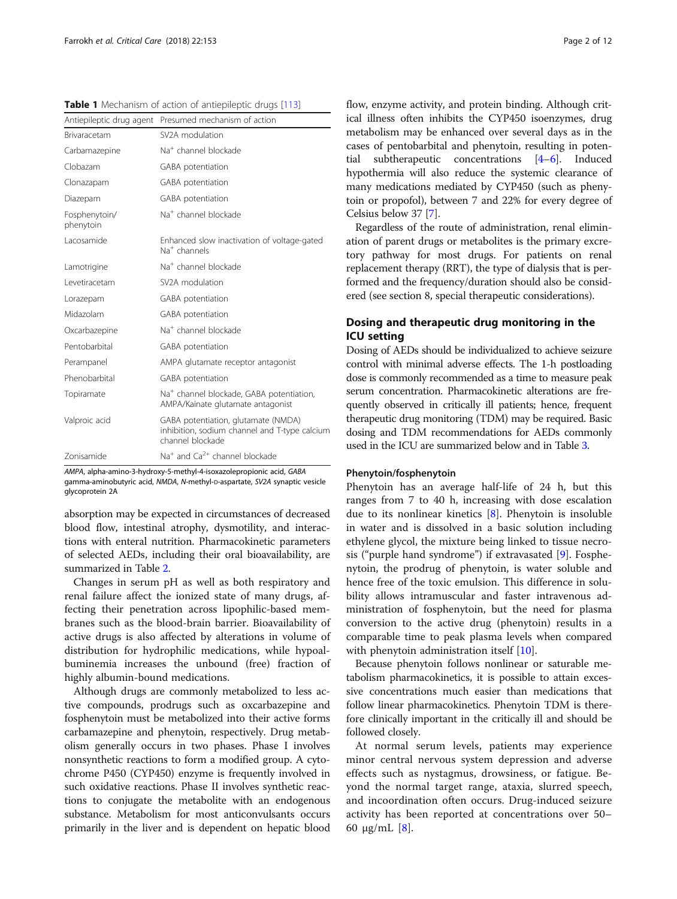<span id="page-1-0"></span>Table 1 Mechanism of action of antiepileptic drugs [[113](#page-11-0)]

| Antiepileptic drug agent   | Presumed mechanism of action                                                                             |
|----------------------------|----------------------------------------------------------------------------------------------------------|
| <b>Brivaracetam</b>        | SV <sub>2</sub> A modulation                                                                             |
| Carbamazepine              | Na <sup>+</sup> channel blockade                                                                         |
| Clobazam                   | GABA potentiation                                                                                        |
| Clonazapam                 | GABA potentiation                                                                                        |
| Diazepam                   | GABA potentiation                                                                                        |
| Fosphenytoin/<br>phenytoin | Na <sup>+</sup> channel blockade                                                                         |
| Lacosamide                 | Enhanced slow inactivation of voltage-gated<br>Na <sup>+</sup> channels                                  |
| Lamotrigine                | Na <sup>+</sup> channel blockade                                                                         |
| I evetiracetam             | SV <sub>2</sub> A modulation                                                                             |
| Lorazepam                  | GABA potentiation                                                                                        |
| Midazolam                  | GABA potentiation                                                                                        |
| Oxcarbazepine              | Na <sup>+</sup> channel blockade                                                                         |
| Pentobarbital              | GABA potentiation                                                                                        |
| Perampanel                 | AMPA glutamate receptor antagonist                                                                       |
| Phenobarbital              | GABA potentiation                                                                                        |
| Topiramate                 | Na <sup>+</sup> channel blockade, GABA potentiation,<br>AMPA/Kainate glutamate antagonist                |
| Valproic acid              | GABA potentiation, glutamate (NMDA)<br>inhibition, sodium channel and T-type calcium<br>channel blockade |
| Zonisamide                 | $Na+$ and $Ca2+$ channel blockade                                                                        |

AMPA, alpha-amino-3-hydroxy-5-methyl-4-isoxazolepropionic acid, GABA gamma-aminobutyric acid, NMDA, N-methyl-D-aspartate, SV2A synaptic vesicle glycoprotein 2A

absorption may be expected in circumstances of decreased blood flow, intestinal atrophy, dysmotility, and interactions with enteral nutrition. Pharmacokinetic parameters of selected AEDs, including their oral bioavailability, are summarized in Table [2.](#page-2-0)

Changes in serum pH as well as both respiratory and renal failure affect the ionized state of many drugs, affecting their penetration across lipophilic-based membranes such as the blood-brain barrier. Bioavailability of active drugs is also affected by alterations in volume of distribution for hydrophilic medications, while hypoalbuminemia increases the unbound (free) fraction of highly albumin-bound medications.

Although drugs are commonly metabolized to less active compounds, prodrugs such as oxcarbazepine and fosphenytoin must be metabolized into their active forms carbamazepine and phenytoin, respectively. Drug metabolism generally occurs in two phases. Phase I involves nonsynthetic reactions to form a modified group. A cytochrome P450 (CYP450) enzyme is frequently involved in such oxidative reactions. Phase II involves synthetic reactions to conjugate the metabolite with an endogenous substance. Metabolism for most anticonvulsants occurs primarily in the liver and is dependent on hepatic blood flow, enzyme activity, and protein binding. Although critical illness often inhibits the CYP450 isoenzymes, drug metabolism may be enhanced over several days as in the cases of pentobarbital and phenytoin, resulting in potential subtherapeutic concentrations [\[4](#page-9-0)–[6\]](#page-9-0). Induced hypothermia will also reduce the systemic clearance of many medications mediated by CYP450 (such as phenytoin or propofol), between 7 and 22% for every degree of Celsius below 37 [\[7](#page-9-0)].

Regardless of the route of administration, renal elimination of parent drugs or metabolites is the primary excretory pathway for most drugs. For patients on renal replacement therapy (RRT), the type of dialysis that is performed and the frequency/duration should also be considered (see section 8, special therapeutic considerations).

# Dosing and therapeutic drug monitoring in the ICU setting

Dosing of AEDs should be individualized to achieve seizure control with minimal adverse effects. The 1-h postloading dose is commonly recommended as a time to measure peak serum concentration. Pharmacokinetic alterations are frequently observed in critically ill patients; hence, frequent therapeutic drug monitoring (TDM) may be required. Basic dosing and TDM recommendations for AEDs commonly used in the ICU are summarized below and in Table [3.](#page-3-0)

#### Phenytoin/fosphenytoin

Phenytoin has an average half-life of 24 h, but this ranges from 7 to 40 h, increasing with dose escalation due to its nonlinear kinetics [\[8](#page-9-0)]. Phenytoin is insoluble in water and is dissolved in a basic solution including ethylene glycol, the mixture being linked to tissue necrosis ("purple hand syndrome") if extravasated [[9\]](#page-9-0). Fosphenytoin, the prodrug of phenytoin, is water soluble and hence free of the toxic emulsion. This difference in solubility allows intramuscular and faster intravenous administration of fosphenytoin, but the need for plasma conversion to the active drug (phenytoin) results in a comparable time to peak plasma levels when compared with phenytoin administration itself [[10](#page-9-0)].

Because phenytoin follows nonlinear or saturable metabolism pharmacokinetics, it is possible to attain excessive concentrations much easier than medications that follow linear pharmacokinetics. Phenytoin TDM is therefore clinically important in the critically ill and should be followed closely.

At normal serum levels, patients may experience minor central nervous system depression and adverse effects such as nystagmus, drowsiness, or fatigue. Beyond the normal target range, ataxia, slurred speech, and incoordination often occurs. Drug-induced seizure activity has been reported at concentrations over 50– 60 μg/mL  $[8]$  $[8]$ .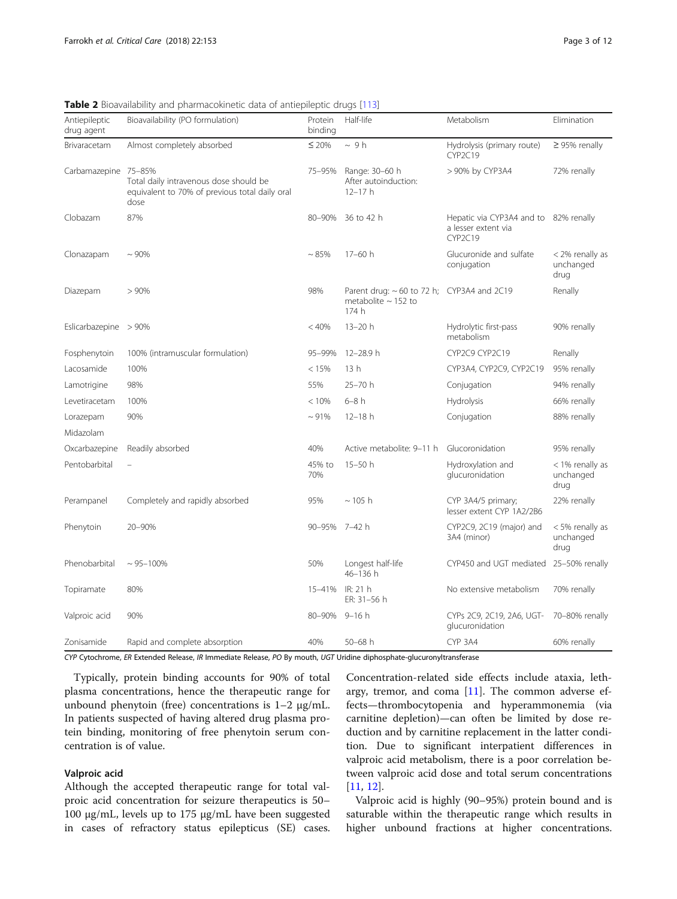| Antiepileptic<br>drug agent | $\mathbf{F}$ is produced and priditional and or different chapter of $\mathbf{F}$<br>Bioavailability (PO formulation) | Protein<br>binding | Half-life                                                                            | Metabolism                                                              | Elimination                          |
|-----------------------------|-----------------------------------------------------------------------------------------------------------------------|--------------------|--------------------------------------------------------------------------------------|-------------------------------------------------------------------------|--------------------------------------|
| Brivaracetam                | Almost completely absorbed                                                                                            | $≤$ 20%            | $\sim$ 9 h                                                                           | Hydrolysis (primary route)<br>CYP2C19                                   | $\geq$ 95% renally                   |
| Carbamazepine               | 75-85%<br>Total daily intravenous dose should be<br>equivalent to 70% of previous total daily oral<br>dose            | 75-95%             | Range: 30-60 h<br>After autoinduction:<br>$12 - 17h$                                 | > 90% by CYP3A4                                                         | 72% renally                          |
| Clobazam                    | 87%                                                                                                                   | 80-90%             | 36 to 42 h                                                                           | Hepatic via CYP3A4 and to 82% renally<br>a lesser extent via<br>CYP2C19 |                                      |
| Clonazapam                  | ~100%                                                                                                                 | $~1.85\%$          | $17 - 60h$                                                                           | Glucuronide and sulfate<br>conjugation                                  | < 2% renally as<br>unchanged<br>drug |
| Diazepam                    | >90%                                                                                                                  | 98%                | Parent drug: $\sim$ 60 to 72 h; CYP3A4 and 2C19<br>metabolite $\sim$ 152 to<br>174 h |                                                                         | Renally                              |
| Eslicarbazepine $>90\%$     |                                                                                                                       | < 40%              | $13 - 20h$                                                                           | Hydrolytic first-pass<br>metabolism                                     | 90% renally                          |
| Fosphenytoin                | 100% (intramuscular formulation)                                                                                      | 95-99%             | 12-28.9 h                                                                            | CYP2C9 CYP2C19                                                          | Renally                              |
| Lacosamide                  | 100%                                                                                                                  | < 15%              | 13h                                                                                  | CYP3A4, CYP2C9, CYP2C19                                                 | 95% renally                          |
| Lamotrigine                 | 98%                                                                                                                   | 55%                | 25-70 h                                                                              | Conjugation                                                             | 94% renally                          |
| Levetiracetam               | 100%                                                                                                                  | < 10%              | $6 - 8$ h                                                                            | Hydrolysis                                                              | 66% renally                          |
| Lorazepam                   | 90%                                                                                                                   | ~191%              | $12 - 18h$                                                                           | Conjugation                                                             | 88% renally                          |
| Midazolam                   |                                                                                                                       |                    |                                                                                      |                                                                         |                                      |
| Oxcarbazepine               | Readily absorbed                                                                                                      | 40%                | Active metabolite: 9-11 h                                                            | Glucoronidation                                                         | 95% renally                          |
| Pentobarbital               | $\equiv$                                                                                                              | 45% to<br>70%      | 15-50 h                                                                              | Hydroxylation and<br>glucuronidation                                    | < 1% renally as<br>unchanged<br>drug |
| Perampanel                  | Completely and rapidly absorbed                                                                                       | 95%                | $\sim$ 105 h                                                                         | CYP 3A4/5 primary;<br>lesser extent CYP 1A2/2B6                         | 22% renally                          |
| Phenytoin                   | 20-90%                                                                                                                | 90-95% 7-42 h      |                                                                                      | CYP2C9, 2C19 (major) and<br>3A4 (minor)                                 | < 5% renally as<br>unchanged<br>drug |
| Phenobarbital               | $\sim$ 95-100%                                                                                                        | 50%                | Longest half-life<br>46-136 h                                                        | CYP450 and UGT mediated                                                 | 25-50% renally                       |
| Topiramate                  | 80%                                                                                                                   | 15-41%             | IR: 21 h<br>ER: 31-56 h                                                              | No extensive metabolism                                                 | 70% renally                          |
| Valproic acid               | 90%                                                                                                                   | 80-90%             | 9–16 h                                                                               | CYPs 2C9, 2C19, 2A6, UGT-<br>glucuronidation                            | 70-80% renally                       |
| Zonisamide                  | Rapid and complete absorption                                                                                         | 40%                | $50 - 68$ h                                                                          | CYP 3A4                                                                 | 60% renally                          |

<span id="page-2-0"></span>Table 2 Bioavailability and pharmacokinetic data of antiepileptic drugs [[113\]](#page-11-0)

CYP Cytochrome, ER Extended Release, IR Immediate Release, PO By mouth, UGT Uridine diphosphate-glucuronyltransferase

Typically, protein binding accounts for 90% of total plasma concentrations, hence the therapeutic range for unbound phenytoin (free) concentrations is 1–2 μg/mL. In patients suspected of having altered drug plasma protein binding, monitoring of free phenytoin serum concentration is of value.

# Valproic acid

Although the accepted therapeutic range for total valproic acid concentration for seizure therapeutics is 50– 100 μg/mL, levels up to 175 μg/mL have been suggested in cases of refractory status epilepticus (SE) cases.

Concentration-related side effects include ataxia, lethargy, tremor, and coma [[11\]](#page-9-0). The common adverse effects—thrombocytopenia and hyperammonemia (via carnitine depletion)—can often be limited by dose reduction and by carnitine replacement in the latter condition. Due to significant interpatient differences in valproic acid metabolism, there is a poor correlation between valproic acid dose and total serum concentrations [[11,](#page-9-0) [12\]](#page-9-0).

Valproic acid is highly (90–95%) protein bound and is saturable within the therapeutic range which results in higher unbound fractions at higher concentrations.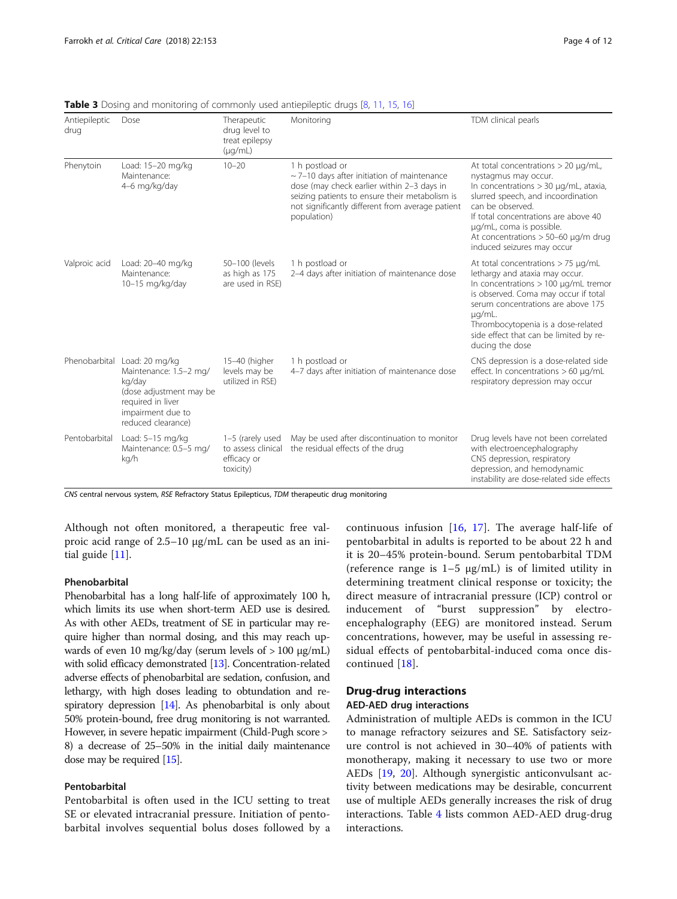Phenytoin Load: 15–20 mg/kg Maintenance: 4–6 mg/kg/day

Antiepileptic drug

| Dose                                               | Therapeutic<br>drug level to<br>treat epilepsy<br>$(\mu q/mL)$ | Monitoring                                                                                                                                                                                                                             | TDM clinical pearls                                                                                                                                                                                                  |
|----------------------------------------------------|----------------------------------------------------------------|----------------------------------------------------------------------------------------------------------------------------------------------------------------------------------------------------------------------------------------|----------------------------------------------------------------------------------------------------------------------------------------------------------------------------------------------------------------------|
| Load: 15–20 mg/kg<br>Maintenance:<br>4–6 mg/kg/day | $10 - 20$                                                      | 1 h postload or<br>$\sim$ 7-10 days after initiation of maintenance<br>dose (may check earlier within 2-3 days in<br>seizing patients to ensure their metabolism is<br>not significantly different from average patient<br>population) | At total concentrations $>$ 20 $\mu$ g/mL,<br>nystagmus may occur.<br>In concentrations $>$ 30 $\mu$ g/mL, ataxia,<br>slurred speech, and incoordination<br>can be observed.<br>If total concentrations are above 40 |

<span id="page-3-0"></span>Table 3 Dosing and monitoring of com-

|               |                                                                                                                                                             |                                                                    | not significantly different from average patient<br>population)                  | can be observed.<br>If total concentrations are above 40<br>µg/mL, coma is possible.<br>At concentrations $> 50-60$ µg/m drug<br>induced seizures may occur                                                                                                                                                               |
|---------------|-------------------------------------------------------------------------------------------------------------------------------------------------------------|--------------------------------------------------------------------|----------------------------------------------------------------------------------|---------------------------------------------------------------------------------------------------------------------------------------------------------------------------------------------------------------------------------------------------------------------------------------------------------------------------|
| Valproic acid | Load: 20-40 mg/kg<br>Maintenance:<br>10-15 mg/kg/day                                                                                                        | 50-100 (levels<br>as high as 175<br>are used in RSE)               | 1 h postload or<br>2-4 days after initiation of maintenance dose                 | At total concentrations $> 75 \mu$ g/mL<br>lethargy and ataxia may occur.<br>In concentrations $> 100$ $\mu$ g/mL tremor<br>is observed. Coma may occur if total<br>serum concentrations are above 175<br>$\mu q/mL$ .<br>Thrombocytopenia is a dose-related<br>side effect that can be limited by re-<br>ducing the dose |
|               | Phenobarbital Load: 20 mg/kg<br>Maintenance: 1.5-2 mg/<br>kg/day<br>(dose adjustment may be<br>required in liver<br>impairment due to<br>reduced clearance) | 15-40 (higher<br>levels may be<br>utilized in RSE)                 | 1 h postload or<br>4-7 days after initiation of maintenance dose                 | CNS depression is a dose-related side<br>effect. In concentrations $> 60 \mu q/mL$<br>respiratory depression may occur                                                                                                                                                                                                    |
| Pentobarbital | Load: $5-15$ mg/kg<br>Maintenance: 0.5-5 mg/<br>kg/h                                                                                                        | 1-5 (rarely used<br>to assess clinical<br>efficacy or<br>toxicity) | May be used after discontinuation to monitor<br>the residual effects of the drug | Drug levels have not been correlated<br>with electroencephalography<br>CNS depression, respiratory<br>depression, and hemodynamic<br>instability are dose-related side effects                                                                                                                                            |

CNS central nervous system, RSE Refractory Status Epilepticus, TDM therapeutic drug monitoring

Although not often monitored, a therapeutic free valproic acid range of 2.5–10 μg/mL can be used as an initial guide [[11](#page-9-0)].

# Phenobarbital

Phenobarbital has a long half-life of approximately 100 h, which limits its use when short-term AED use is desired. As with other AEDs, treatment of SE in particular may require higher than normal dosing, and this may reach upwards of even 10 mg/kg/day (serum levels of  $> 100 \mu g/mL$ ) with solid efficacy demonstrated [[13](#page-9-0)]. Concentration-related adverse effects of phenobarbital are sedation, confusion, and lethargy, with high doses leading to obtundation and respiratory depression [\[14\]](#page-9-0). As phenobarbital is only about 50% protein-bound, free drug monitoring is not warranted. However, in severe hepatic impairment (Child-Pugh score > 8) a decrease of 25–50% in the initial daily maintenance dose may be required [\[15](#page-9-0)].

### Pentobarbital

Pentobarbital is often used in the ICU setting to treat SE or elevated intracranial pressure. Initiation of pentobarbital involves sequential bolus doses followed by a

continuous infusion [\[16](#page-9-0), [17\]](#page-9-0). The average half-life of pentobarbital in adults is reported to be about 22 h and it is 20–45% protein-bound. Serum pentobarbital TDM (reference range is  $1-5 \mu g/mL$ ) is of limited utility in determining treatment clinical response or toxicity; the direct measure of intracranial pressure (ICP) control or inducement of "burst suppression" by electroencephalography (EEG) are monitored instead. Serum concentrations, however, may be useful in assessing residual effects of pentobarbital-induced coma once discontinued [[18\]](#page-9-0).

#### Drug-drug interactions

# AED-AED drug interactions

Administration of multiple AEDs is common in the ICU to manage refractory seizures and SE. Satisfactory seizure control is not achieved in 30–40% of patients with monotherapy, making it necessary to use two or more AEDs [[19,](#page-9-0) [20](#page-9-0)]. Although synergistic anticonvulsant activity between medications may be desirable, concurrent use of multiple AEDs generally increases the risk of drug interactions. Table [4](#page-4-0) lists common AED-AED drug-drug interactions.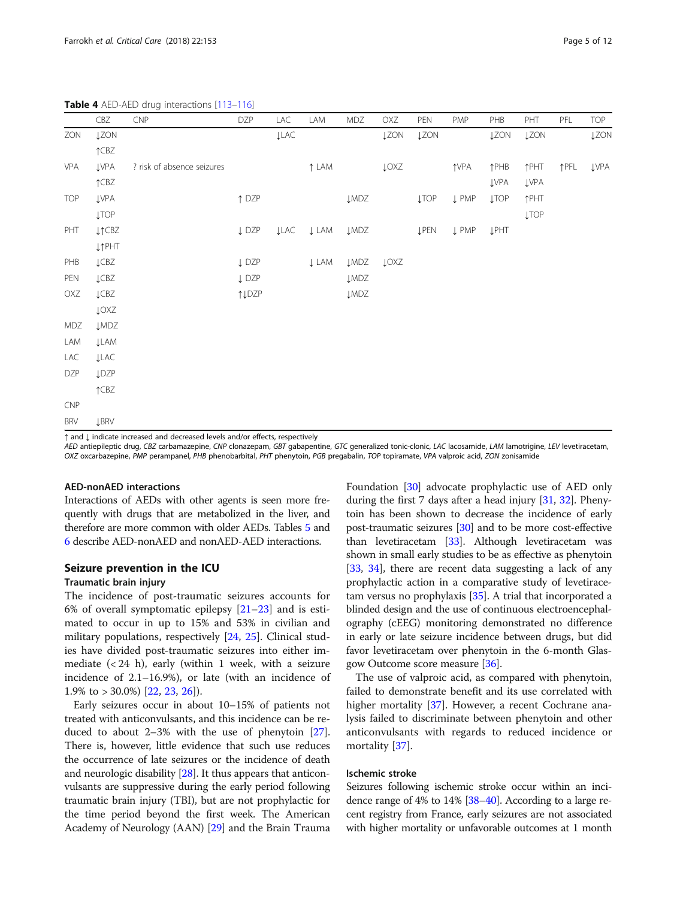<span id="page-4-0"></span>Table 4 AED-AED drug interactions [\[113](#page-11-0)-[116\]](#page-11-0)

|            | CBZ                       | <b>CNP</b>                                                                 | <b>DZP</b>       | LAC         | LAM         | MDZ              | OXZ         | PEN         | <b>PMP</b>       | PHB         | PHT         | PFL  | <b>TOP</b>  |
|------------|---------------------------|----------------------------------------------------------------------------|------------------|-------------|-------------|------------------|-------------|-------------|------------------|-------------|-------------|------|-------------|
| ZON        | <b>ĮZON</b>               |                                                                            |                  | <b>ĮLAC</b> |             |                  | <b>JZON</b> | <b>JZON</b> |                  | <b>ĮZON</b> | <b>ĮZON</b> |      | <b>ĮZON</b> |
|            | $\uparrow$ CBZ            |                                                                            |                  |             |             |                  |             |             |                  |             |             |      |             |
| VPA        | <b>ĮVPA</b>               | ? risk of absence seizures                                                 |                  |             | ↑ LAM       |                  | <b>LOXZ</b> |             | <b>TVPA</b>      | <b>TPHB</b> | <b>TPHT</b> | ↑PFL | <b>ĮVPA</b> |
|            | $\uparrow$ CBZ            |                                                                            |                  |             |             |                  |             |             |                  | <b>ĮVPA</b> | <b>ĮVPA</b> |      |             |
| <b>TOP</b> | <b>ĮVPA</b>               |                                                                            | $\uparrow$ DZP   |             |             | $\downarrow$ MDZ |             | <b>ĮTOP</b> | $\downarrow$ PMP | <b>ĮTOP</b> | ↑PHT        |      |             |
|            | <b>ĮTOP</b>               |                                                                            |                  |             |             |                  |             |             |                  |             | <b>ĮTOP</b> |      |             |
| PHT        | $\downarrow \uparrow$ CBZ |                                                                            | $\downarrow$ DZP | <b>JLAC</b> | <b>↓LAM</b> | <b>LMDZ</b>      |             | <b>ĮPEN</b> | <b>↓PMP</b>      | <b>ĮPHT</b> |             |      |             |
|            | <b>LTPHT</b>              |                                                                            |                  |             |             |                  |             |             |                  |             |             |      |             |
| PHB        | LCBZ                      |                                                                            | $\downarrow$ DZP |             | <b>↓LAM</b> | <b>JMDZ</b>      | <b>LOXZ</b> |             |                  |             |             |      |             |
| PEN        | LCBZ                      |                                                                            | $\downarrow$ DZP |             |             | <b>LMDZ</b>      |             |             |                  |             |             |      |             |
| OXZ        | LCBZ                      |                                                                            | ↑↓DZP            |             |             | $\downarrow$ MDZ |             |             |                  |             |             |      |             |
|            | $\downarrow$ OXZ          |                                                                            |                  |             |             |                  |             |             |                  |             |             |      |             |
| MDZ        | <b>LMDZ</b>               |                                                                            |                  |             |             |                  |             |             |                  |             |             |      |             |
| LAM        | <b>JLAM</b>               |                                                                            |                  |             |             |                  |             |             |                  |             |             |      |             |
| LAC        | <b>JLAC</b>               |                                                                            |                  |             |             |                  |             |             |                  |             |             |      |             |
| <b>DZP</b> | <b>LDZP</b>               |                                                                            |                  |             |             |                  |             |             |                  |             |             |      |             |
|            | $\uparrow$ CBZ            |                                                                            |                  |             |             |                  |             |             |                  |             |             |      |             |
| CNP        |                           |                                                                            |                  |             |             |                  |             |             |                  |             |             |      |             |
| <b>BRV</b> | <b>LBRV</b>               |                                                                            |                  |             |             |                  |             |             |                  |             |             |      |             |
|            |                           | t and Lindicate increased and decreased loyals and/or effects respectively |                  |             |             |                  |             |             |                  |             |             |      |             |

and decreased levels and/or effects, re

AED antiepileptic drug, CBZ carbamazepine, CNP clonazepam, GBT gabapentine, GTC generalized tonic-clonic, LAC lacosamide, LAM lamotrigine, LEV levetiracetam, OXZ oxcarbazepine, PMP perampanel, PHB phenobarbital, PHT phenytoin, PGB pregabalin, TOP topiramate, VPA valproic acid, ZON zonisamide

### AED-nonAED interactions

Interactions of AEDs with other agents is seen more frequently with drugs that are metabolized in the liver, and therefore are more common with older AEDs. Tables [5](#page-5-0) and [6](#page-5-0) describe AED-nonAED and nonAED-AED interactions.

#### Seizure prevention in the ICU

# Traumatic brain injury

The incidence of post-traumatic seizures accounts for 6% of overall symptomatic epilepsy [\[21](#page-9-0)–[23\]](#page-9-0) and is estimated to occur in up to 15% and 53% in civilian and military populations, respectively [\[24](#page-9-0), [25\]](#page-9-0). Clinical studies have divided post-traumatic seizures into either immediate  $( $24$  h)$ , early (within 1 week, with a seizure incidence of 2.1–16.9%), or late (with an incidence of 1.9% to  $>$  30.0%) [[22,](#page-9-0) [23,](#page-9-0) [26\]](#page-9-0)).

Early seizures occur in about 10–15% of patients not treated with anticonvulsants, and this incidence can be reduced to about 2–3% with the use of phenytoin [[27](#page-9-0)]. There is, however, little evidence that such use reduces the occurrence of late seizures or the incidence of death and neurologic disability [\[28\]](#page-9-0). It thus appears that anticonvulsants are suppressive during the early period following traumatic brain injury (TBI), but are not prophylactic for the time period beyond the first week. The American Academy of Neurology (AAN) [\[29](#page-9-0)] and the Brain Trauma Foundation [\[30\]](#page-9-0) advocate prophylactic use of AED only during the first 7 days after a head injury [[31](#page-9-0), [32](#page-9-0)]. Phenytoin has been shown to decrease the incidence of early post-traumatic seizures [\[30\]](#page-9-0) and to be more cost-effective than levetiracetam [[33](#page-9-0)]. Although levetiracetam was shown in small early studies to be as effective as phenytoin [[33](#page-9-0), [34\]](#page-9-0), there are recent data suggesting a lack of any prophylactic action in a comparative study of levetiracetam versus no prophylaxis [[35](#page-9-0)]. A trial that incorporated a blinded design and the use of continuous electroencephalography (cEEG) monitoring demonstrated no difference in early or late seizure incidence between drugs, but did favor levetiracetam over phenytoin in the 6-month Glasgow Outcome score measure [\[36\]](#page-9-0).

The use of valproic acid, as compared with phenytoin, failed to demonstrate benefit and its use correlated with higher mortality [[37\]](#page-9-0). However, a recent Cochrane analysis failed to discriminate between phenytoin and other anticonvulsants with regards to reduced incidence or mortality [\[37\]](#page-9-0).

# Ischemic stroke

Seizures following ischemic stroke occur within an incidence range of 4% to 14% [\[38](#page-9-0)–[40\]](#page-9-0). According to a large recent registry from France, early seizures are not associated with higher mortality or unfavorable outcomes at 1 month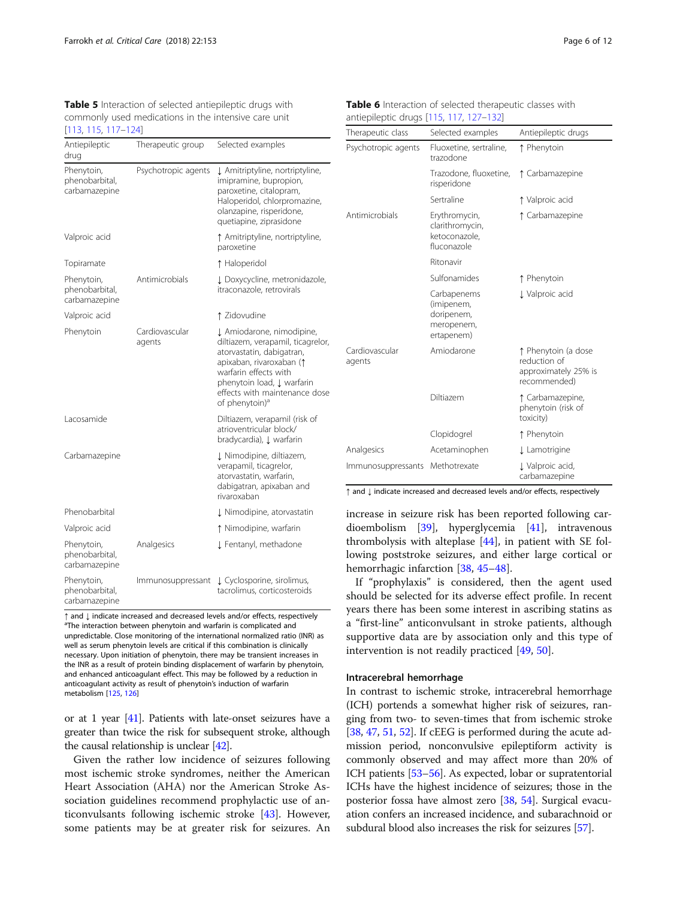<span id="page-5-0"></span>Table 5 Interaction of selected antiepileptic drugs with commonly used medications in the intensive care unit [\[113,](#page-11-0) [115](#page-11-0), [117](#page-11-0)–[124\]](#page-11-0)

| Antiepileptic<br>drug                         | Therapeutic group        | Selected examples                                                                                                                                                                                                                             |
|-----------------------------------------------|--------------------------|-----------------------------------------------------------------------------------------------------------------------------------------------------------------------------------------------------------------------------------------------|
| Phenytoin,<br>phenobarbital,<br>carbamazepine | Psychotropic agents      | ↓ Amitriptyline, nortriptyline,<br>imipramine, bupropion,<br>paroxetine, citalopram,<br>Haloperidol, chlorpromazine,<br>olanzapine, risperidone,<br>quetiapine, ziprasidone                                                                   |
| Valproic acid                                 |                          | ↑ Amitriptyline, nortriptyline,<br>paroxetine                                                                                                                                                                                                 |
| Topiramate                                    |                          | ↑ Haloperidol                                                                                                                                                                                                                                 |
| Phenytoin,<br>phenobarbital,<br>carbamazepine | Antimicrobials           | ↓ Doxycycline, metronidazole,<br>itraconazole, retrovirals                                                                                                                                                                                    |
| Valproic acid                                 |                          | ↑ Zidovudine                                                                                                                                                                                                                                  |
| Phenytoin                                     | Cardiovascular<br>agents | ↓ Amiodarone, nimodipine,<br>diltiazem, verapamil, ticagrelor,<br>atorvastatin, dabigatran,<br>apixaban, rivaroxaban (1<br>warfarin effects with<br>phenytoin load, J warfarin<br>effects with maintenance dose<br>of phenytoin) <sup>a</sup> |
| Lacosamide                                    |                          | Diltiazem, verapamil (risk of<br>atrioventricular block/<br>bradycardia), Į warfarin                                                                                                                                                          |
| Carbamazepine                                 |                          | ↓ Nimodipine, diltiazem,<br>verapamil, ticagrelor,<br>atorvastatin, warfarin,<br>dabigatran, apixaban and<br>rivaroxaban                                                                                                                      |
| Phenobarbital                                 |                          | ↓ Nimodipine, atorvastatin                                                                                                                                                                                                                    |
| Valproic acid                                 |                          | ↑ Nimodipine, warfarin                                                                                                                                                                                                                        |
| Phenytoin,<br>phenobarbital,<br>carbamazepine | Analgesics               | J Fentanyl, methadone                                                                                                                                                                                                                         |
| Phenytoin,<br>phenobarbital,<br>carbamazepine | Immunosuppressant        | ↓ Cyclosporine, sirolimus,<br>tacrolimus, corticosteroids                                                                                                                                                                                     |

<sup>↑</sup> and <sup>↓</sup> indicate increased and decreased levels and/or effects, respectively <sup>a</sup> <sup>a</sup>The interaction between phenytoin and warfarin is complicated and unpredictable. Close monitoring of the international normalized ratio (INR) as well as serum phenytoin levels are critical if this combination is clinically necessary. Upon initiation of phenytoin, there may be transient increases in the INR as a result of protein binding displacement of warfarin by phenytoin, and enhanced anticoagulant effect. This may be followed by a reduction in anticoagulant activity as result of phenytoin's induction of warfarin metabolism [\[125](#page-11-0), [126](#page-11-0)]

or at 1 year [\[41\]](#page-10-0). Patients with late-onset seizures have a greater than twice the risk for subsequent stroke, although the causal relationship is unclear  $[42]$  $[42]$  $[42]$ .

Given the rather low incidence of seizures following most ischemic stroke syndromes, neither the American Heart Association (AHA) nor the American Stroke Association guidelines recommend prophylactic use of anticonvulsants following ischemic stroke [\[43](#page-10-0)]. However, some patients may be at greater risk for seizures. An

Table 6 Interaction of selected therapeutic classes with antiepileptic drugs [[115,](#page-11-0) [117,](#page-11-0) [127](#page-11-0)–[132](#page-11-0)]

| Therapeutic class        | Selected examples                                                   | Antiepileptic drugs                                                         |  |  |
|--------------------------|---------------------------------------------------------------------|-----------------------------------------------------------------------------|--|--|
| Psychotropic agents      | Fluoxetine, sertraline,<br>trazodone                                | ↑ Phenytoin                                                                 |  |  |
|                          | Trazodone, fluoxetine,<br>risperidone                               | ↑ Carbamazepine                                                             |  |  |
|                          | Sertraline                                                          | ↑ Valproic acid                                                             |  |  |
| Antimicrobials           | Erythromycin,<br>clarithromycin,<br>ketoconazole,<br>fluconazole    | ↑ Carbamazepine                                                             |  |  |
|                          | Ritonavir                                                           |                                                                             |  |  |
|                          | Sulfonamides                                                        | ↑ Phenytoin                                                                 |  |  |
|                          | Carbapenems<br>(imipenem,<br>doripenem,<br>meropenem,<br>ertapenem) | J Valproic acid                                                             |  |  |
| Cardiovascular<br>agents | Amiodarone                                                          | ↑ Phenytoin (a dose<br>reduction of<br>approximately 25% is<br>recommended) |  |  |
|                          | Diltiazem                                                           | ↑ Carbamazepine,<br>phenytoin (risk of<br>toxicity)                         |  |  |
|                          | Clopidogrel                                                         | ↑ Phenytoin                                                                 |  |  |
| Analgesics               | Acetaminophen                                                       | <b>J</b> Lamotrigine                                                        |  |  |
| Immunosuppressants       | Methotrexate                                                        | J Valproic acid,<br>carbamazepine                                           |  |  |

↑ and ↓ indicate increased and decreased levels and/or effects, respectively

increase in seizure risk has been reported following cardioembolism [\[39](#page-9-0)], hyperglycemia [\[41](#page-10-0)], intravenous thrombolysis with alteplase [\[44](#page-10-0)], in patient with SE following poststroke seizures, and either large cortical or hemorrhagic infarction [\[38,](#page-9-0) [45](#page-10-0)–[48\]](#page-10-0).

If "prophylaxis" is considered, then the agent used should be selected for its adverse effect profile. In recent years there has been some interest in ascribing statins as a "first-line" anticonvulsant in stroke patients, although supportive data are by association only and this type of intervention is not readily practiced [\[49](#page-10-0), [50](#page-10-0)].

#### Intracerebral hemorrhage

In contrast to ischemic stroke, intracerebral hemorrhage (ICH) portends a somewhat higher risk of seizures, ranging from two- to seven-times that from ischemic stroke [[38](#page-9-0), [47,](#page-10-0) [51,](#page-10-0) [52](#page-10-0)]. If cEEG is performed during the acute admission period, nonconvulsive epileptiform activity is commonly observed and may affect more than 20% of ICH patients [\[53](#page-10-0)–[56](#page-10-0)]. As expected, lobar or supratentorial ICHs have the highest incidence of seizures; those in the posterior fossa have almost zero [\[38,](#page-9-0) [54](#page-10-0)]. Surgical evacuation confers an increased incidence, and subarachnoid or subdural blood also increases the risk for seizures [\[57\]](#page-10-0).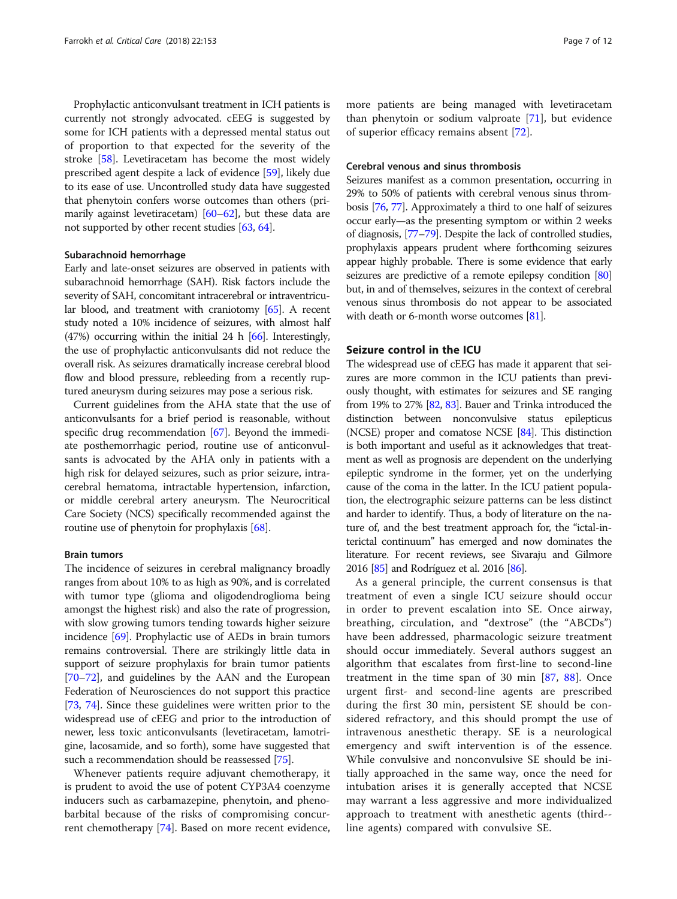Prophylactic anticonvulsant treatment in ICH patients is currently not strongly advocated. cEEG is suggested by some for ICH patients with a depressed mental status out of proportion to that expected for the severity of the stroke [\[58\]](#page-10-0). Levetiracetam has become the most widely prescribed agent despite a lack of evidence [\[59\]](#page-10-0), likely due to its ease of use. Uncontrolled study data have suggested that phenytoin confers worse outcomes than others (primarily against levetiracetam) [\[60](#page-10-0)–[62](#page-10-0)], but these data are not supported by other recent studies [[63](#page-10-0), [64\]](#page-10-0).

#### Subarachnoid hemorrhage

Early and late-onset seizures are observed in patients with subarachnoid hemorrhage (SAH). Risk factors include the severity of SAH, concomitant intracerebral or intraventricular blood, and treatment with craniotomy [[65](#page-10-0)]. A recent study noted a 10% incidence of seizures, with almost half (47%) occurring within the initial 24 h [\[66\]](#page-10-0). Interestingly, the use of prophylactic anticonvulsants did not reduce the overall risk. As seizures dramatically increase cerebral blood flow and blood pressure, rebleeding from a recently ruptured aneurysm during seizures may pose a serious risk.

Current guidelines from the AHA state that the use of anticonvulsants for a brief period is reasonable, without specific drug recommendation [[67](#page-10-0)]. Beyond the immediate posthemorrhagic period, routine use of anticonvulsants is advocated by the AHA only in patients with a high risk for delayed seizures, such as prior seizure, intracerebral hematoma, intractable hypertension, infarction, or middle cerebral artery aneurysm. The Neurocritical Care Society (NCS) specifically recommended against the routine use of phenytoin for prophylaxis [\[68](#page-10-0)].

#### Brain tumors

The incidence of seizures in cerebral malignancy broadly ranges from about 10% to as high as 90%, and is correlated with tumor type (glioma and oligodendroglioma being amongst the highest risk) and also the rate of progression, with slow growing tumors tending towards higher seizure incidence [\[69\]](#page-10-0). Prophylactic use of AEDs in brain tumors remains controversial. There are strikingly little data in support of seizure prophylaxis for brain tumor patients [[70](#page-10-0)–[72\]](#page-10-0), and guidelines by the AAN and the European Federation of Neurosciences do not support this practice [[73](#page-10-0), [74\]](#page-10-0). Since these guidelines were written prior to the widespread use of cEEG and prior to the introduction of newer, less toxic anticonvulsants (levetiracetam, lamotrigine, lacosamide, and so forth), some have suggested that such a recommendation should be reassessed [[75](#page-10-0)].

Whenever patients require adjuvant chemotherapy, it is prudent to avoid the use of potent CYP3A4 coenzyme inducers such as carbamazepine, phenytoin, and phenobarbital because of the risks of compromising concurrent chemotherapy [[74\]](#page-10-0). Based on more recent evidence,

more patients are being managed with levetiracetam than phenytoin or sodium valproate [[71](#page-10-0)], but evidence of superior efficacy remains absent [\[72](#page-10-0)].

## Cerebral venous and sinus thrombosis

Seizures manifest as a common presentation, occurring in 29% to 50% of patients with cerebral venous sinus thrombosis [\[76](#page-10-0), [77\]](#page-10-0). Approximately a third to one half of seizures occur early—as the presenting symptom or within 2 weeks of diagnosis, [[77](#page-10-0)–[79](#page-10-0)]. Despite the lack of controlled studies, prophylaxis appears prudent where forthcoming seizures appear highly probable. There is some evidence that early seizures are predictive of a remote epilepsy condition [\[80](#page-10-0)] but, in and of themselves, seizures in the context of cerebral venous sinus thrombosis do not appear to be associated with death or 6-month worse outcomes [[81](#page-10-0)].

#### Seizure control in the ICU

The widespread use of cEEG has made it apparent that seizures are more common in the ICU patients than previously thought, with estimates for seizures and SE ranging from 19% to 27% [[82](#page-10-0), [83](#page-10-0)]. Bauer and Trinka introduced the distinction between nonconvulsive status epilepticus (NCSE) proper and comatose NCSE [\[84](#page-10-0)]. This distinction is both important and useful as it acknowledges that treatment as well as prognosis are dependent on the underlying epileptic syndrome in the former, yet on the underlying cause of the coma in the latter. In the ICU patient population, the electrographic seizure patterns can be less distinct and harder to identify. Thus, a body of literature on the nature of, and the best treatment approach for, the "ictal-interictal continuum" has emerged and now dominates the literature. For recent reviews, see Sivaraju and Gilmore 2016 [\[85\]](#page-10-0) and Rodríguez et al. 2016 [\[86\]](#page-10-0).

As a general principle, the current consensus is that treatment of even a single ICU seizure should occur in order to prevent escalation into SE. Once airway, breathing, circulation, and "dextrose" (the "ABCDs") have been addressed, pharmacologic seizure treatment should occur immediately. Several authors suggest an algorithm that escalates from first-line to second-line treatment in the time span of 30 min [\[87](#page-10-0), [88](#page-10-0)]. Once urgent first- and second-line agents are prescribed during the first 30 min, persistent SE should be considered refractory, and this should prompt the use of intravenous anesthetic therapy. SE is a neurological emergency and swift intervention is of the essence. While convulsive and nonconvulsive SE should be initially approached in the same way, once the need for intubation arises it is generally accepted that NCSE may warrant a less aggressive and more individualized approach to treatment with anesthetic agents (third- line agents) compared with convulsive SE.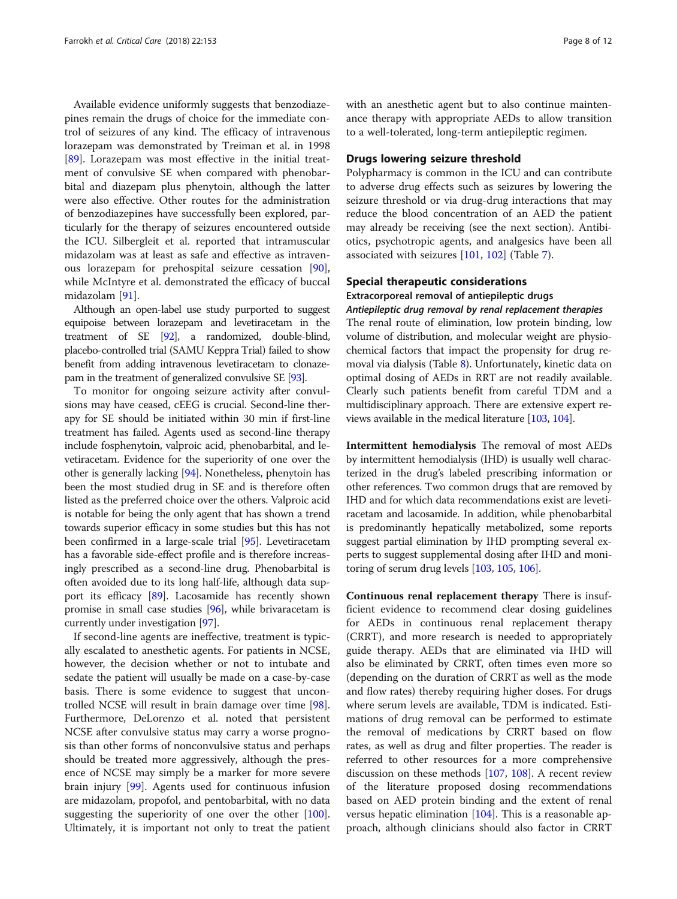Available evidence uniformly suggests that benzodiazepines remain the drugs of choice for the immediate control of seizures of any kind. The efficacy of intravenous lorazepam was demonstrated by Treiman et al. in 1998 [[89\]](#page-10-0). Lorazepam was most effective in the initial treatment of convulsive SE when compared with phenobarbital and diazepam plus phenytoin, although the latter were also effective. Other routes for the administration of benzodiazepines have successfully been explored, particularly for the therapy of seizures encountered outside the ICU. Silbergleit et al. reported that intramuscular midazolam was at least as safe and effective as intravenous lorazepam for prehospital seizure cessation [\[90](#page-10-0)], while McIntyre et al. demonstrated the efficacy of buccal midazolam [[91\]](#page-10-0).

Although an open-label use study purported to suggest equipoise between lorazepam and levetiracetam in the treatment of SE [\[92](#page-10-0)], a randomized, double-blind, placebo-controlled trial (SAMU Keppra Trial) failed to show benefit from adding intravenous levetiracetam to clonazepam in the treatment of generalized convulsive SE [\[93](#page-10-0)].

To monitor for ongoing seizure activity after convulsions may have ceased, cEEG is crucial. Second-line therapy for SE should be initiated within 30 min if first-line treatment has failed. Agents used as second-line therapy include fosphenytoin, valproic acid, phenobarbital, and levetiracetam. Evidence for the superiority of one over the other is generally lacking [[94](#page-10-0)]. Nonetheless, phenytoin has been the most studied drug in SE and is therefore often listed as the preferred choice over the others. Valproic acid is notable for being the only agent that has shown a trend towards superior efficacy in some studies but this has not been confirmed in a large-scale trial [\[95\]](#page-10-0). Levetiracetam has a favorable side-effect profile and is therefore increasingly prescribed as a second-line drug. Phenobarbital is often avoided due to its long half-life, although data support its efficacy [\[89](#page-10-0)]. Lacosamide has recently shown promise in small case studies [[96](#page-10-0)], while brivaracetam is currently under investigation [\[97\]](#page-10-0).

If second-line agents are ineffective, treatment is typically escalated to anesthetic agents. For patients in NCSE, however, the decision whether or not to intubate and sedate the patient will usually be made on a case-by-case basis. There is some evidence to suggest that uncontrolled NCSE will result in brain damage over time [\[98](#page-10-0)]. Furthermore, DeLorenzo et al. noted that persistent NCSE after convulsive status may carry a worse prognosis than other forms of nonconvulsive status and perhaps should be treated more aggressively, although the presence of NCSE may simply be a marker for more severe brain injury [\[99](#page-10-0)]. Agents used for continuous infusion are midazolam, propofol, and pentobarbital, with no data suggesting the superiority of one over the other [\[100](#page-10-0)]. Ultimately, it is important not only to treat the patient

with an anesthetic agent but to also continue maintenance therapy with appropriate AEDs to allow transition to a well-tolerated, long-term antiepileptic regimen.

# Drugs lowering seizure threshold

Polypharmacy is common in the ICU and can contribute to adverse drug effects such as seizures by lowering the seizure threshold or via drug-drug interactions that may reduce the blood concentration of an AED the patient may already be receiving (see the next section). Antibiotics, psychotropic agents, and analgesics have been all associated with seizures [\[101,](#page-10-0) [102\]](#page-11-0) (Table [7](#page-8-0)).

# Special therapeutic considerations

Extracorporeal removal of antiepileptic drugs Antiepileptic drug removal by renal replacement therapies

The renal route of elimination, low protein binding, low volume of distribution, and molecular weight are physiochemical factors that impact the propensity for drug removal via dialysis (Table [8\)](#page-8-0). Unfortunately, kinetic data on optimal dosing of AEDs in RRT are not readily available. Clearly such patients benefit from careful TDM and a multidisciplinary approach. There are extensive expert reviews available in the medical literature [\[103,](#page-11-0) [104\]](#page-11-0).

Intermittent hemodialysis The removal of most AEDs by intermittent hemodialysis (IHD) is usually well characterized in the drug's labeled prescribing information or other references. Two common drugs that are removed by IHD and for which data recommendations exist are levetiracetam and lacosamide. In addition, while phenobarbital is predominantly hepatically metabolized, some reports suggest partial elimination by IHD prompting several experts to suggest supplemental dosing after IHD and monitoring of serum drug levels [\[103,](#page-11-0) [105,](#page-11-0) [106\]](#page-11-0).

Continuous renal replacement therapy There is insufficient evidence to recommend clear dosing guidelines for AEDs in continuous renal replacement therapy (CRRT), and more research is needed to appropriately guide therapy. AEDs that are eliminated via IHD will also be eliminated by CRRT, often times even more so (depending on the duration of CRRT as well as the mode and flow rates) thereby requiring higher doses. For drugs where serum levels are available, TDM is indicated. Estimations of drug removal can be performed to estimate the removal of medications by CRRT based on flow rates, as well as drug and filter properties. The reader is referred to other resources for a more comprehensive discussion on these methods [[107](#page-11-0), [108](#page-11-0)]. A recent review of the literature proposed dosing recommendations based on AED protein binding and the extent of renal versus hepatic elimination [\[104\]](#page-11-0). This is a reasonable approach, although clinicians should also factor in CRRT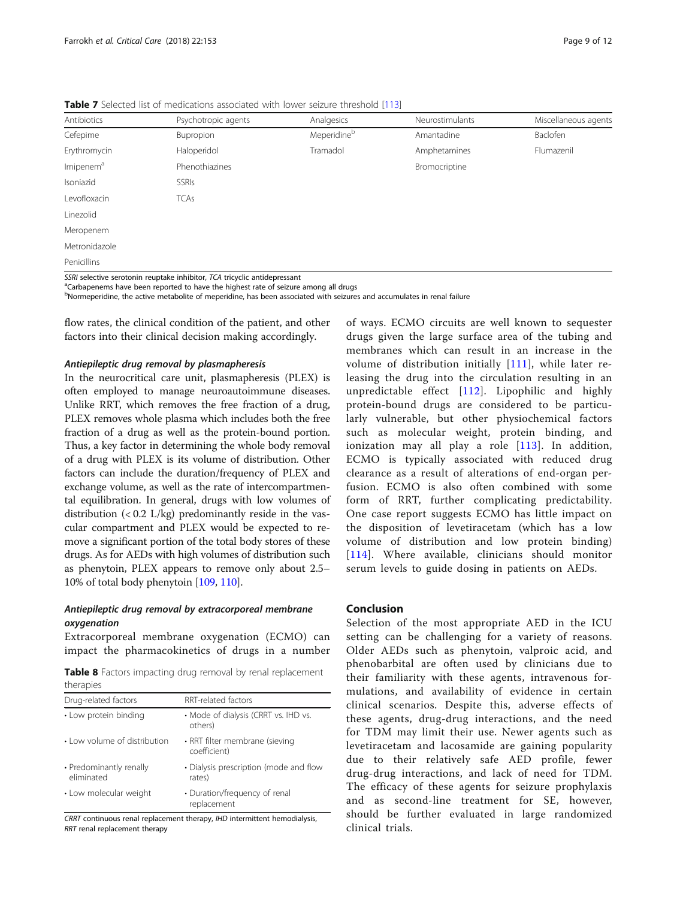| Antibiotics           | Psychotropic agents                                                       | Analgesics  | Neurostimulants | Miscellaneous agents |
|-----------------------|---------------------------------------------------------------------------|-------------|-----------------|----------------------|
| Cefepime              | Bupropion                                                                 | Meperidineb | Amantadine      | Baclofen             |
| Erythromycin          | Haloperidol                                                               | Tramadol    | Amphetamines    | Flumazenil           |
| Imipenem <sup>a</sup> | Phenothiazines                                                            |             | Bromocriptine   |                      |
| Isoniazid             | <b>SSRIS</b>                                                              |             |                 |                      |
| Levofloxacin          | <b>TCAs</b>                                                               |             |                 |                      |
| Linezolid             |                                                                           |             |                 |                      |
| Meropenem             |                                                                           |             |                 |                      |
| Metronidazole         |                                                                           |             |                 |                      |
| Penicillins           |                                                                           |             |                 |                      |
|                       | CCPL coloctive corotonin reuntake inhibitor. TCA tricyclic antidepressant |             |                 |                      |

<span id="page-8-0"></span>Table 7 Selected list of medications associated with lower seizure threshold [\[113](#page-11-0)]

SSRI selective serotonin reuptake inhibitor, TCA tricyclic antidepressant<br><sup>a</sup>Carbapenems have been reported to have the highest rate of seizure among all drugs

<sup>b</sup>Normeperidine, the active metabolite of meperidine, has been associated with seizures and accumulates in renal failure

flow rates, the clinical condition of the patient, and other factors into their clinical decision making accordingly.

#### Antiepileptic drug removal by plasmapheresis

In the neurocritical care unit, plasmapheresis (PLEX) is often employed to manage neuroautoimmune diseases. Unlike RRT, which removes the free fraction of a drug, PLEX removes whole plasma which includes both the free fraction of a drug as well as the protein-bound portion. Thus, a key factor in determining the whole body removal of a drug with PLEX is its volume of distribution. Other factors can include the duration/frequency of PLEX and exchange volume, as well as the rate of intercompartmental equilibration. In general, drugs with low volumes of distribution  $\left($  < 0.2 L/kg) predominantly reside in the vascular compartment and PLEX would be expected to remove a significant portion of the total body stores of these drugs. As for AEDs with high volumes of distribution such as phenytoin, PLEX appears to remove only about 2.5– 10% of total body phenytoin [[109](#page-11-0), [110](#page-11-0)].

# Antiepileptic drug removal by extracorporeal membrane oxygenation

Extracorporeal membrane oxygenation (ECMO) can impact the pharmacokinetics of drugs in a number

Table 8 Factors impacting drug removal by renal replacement therapies

| Drug-related factors                  | RRT-related factors                              |
|---------------------------------------|--------------------------------------------------|
| • Low protein binding                 | • Mode of dialysis (CRRT vs. IHD vs.<br>others)  |
| • Low volume of distribution          | • RRT filter membrane (sieving<br>coefficient)   |
| • Predominantly renally<br>eliminated | • Dialysis prescription (mode and flow<br>rates) |
| • Low molecular weight                | • Duration/frequency of renal<br>replacement     |

CRRT continuous renal replacement therapy, IHD intermittent hemodialysis, RRT renal replacement therapy

of ways. ECMO circuits are well known to sequester drugs given the large surface area of the tubing and membranes which can result in an increase in the volume of distribution initially [[111](#page-11-0)], while later releasing the drug into the circulation resulting in an unpredictable effect [[112](#page-11-0)]. Lipophilic and highly protein-bound drugs are considered to be particularly vulnerable, but other physiochemical factors such as molecular weight, protein binding, and ionization may all play a role [[113\]](#page-11-0). In addition, ECMO is typically associated with reduced drug clearance as a result of alterations of end-organ perfusion. ECMO is also often combined with some form of RRT, further complicating predictability. One case report suggests ECMO has little impact on the disposition of levetiracetam (which has a low volume of distribution and low protein binding) [[114](#page-11-0)]. Where available, clinicians should monitor serum levels to guide dosing in patients on AEDs.

# Conclusion

Selection of the most appropriate AED in the ICU setting can be challenging for a variety of reasons. Older AEDs such as phenytoin, valproic acid, and phenobarbital are often used by clinicians due to their familiarity with these agents, intravenous formulations, and availability of evidence in certain clinical scenarios. Despite this, adverse effects of these agents, drug-drug interactions, and the need for TDM may limit their use. Newer agents such as levetiracetam and lacosamide are gaining popularity due to their relatively safe AED profile, fewer drug-drug interactions, and lack of need for TDM. The efficacy of these agents for seizure prophylaxis and as second-line treatment for SE, however, should be further evaluated in large randomized clinical trials.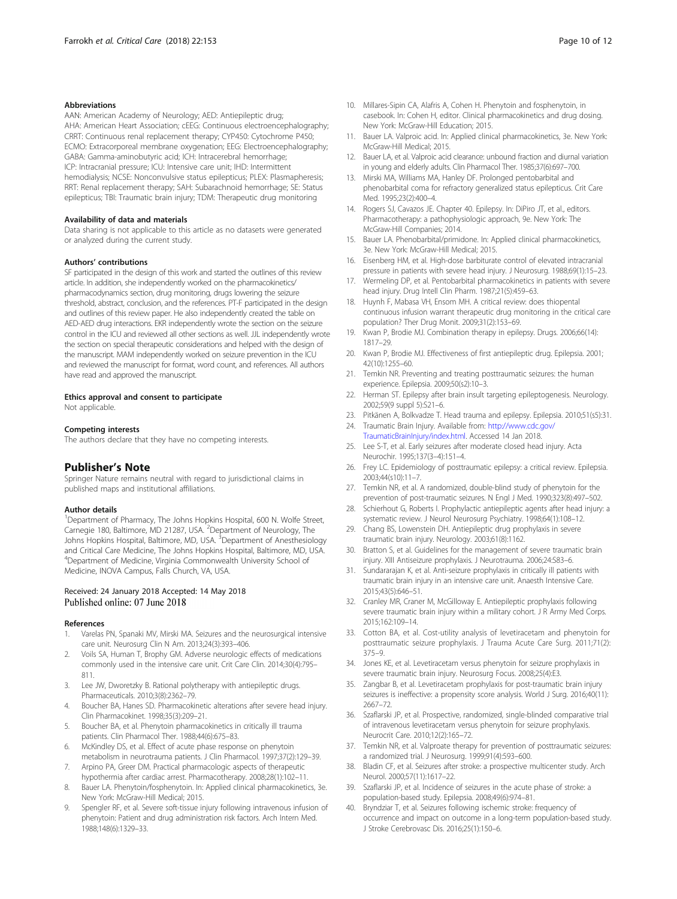#### <span id="page-9-0"></span>Abbreviations

AAN: American Academy of Neurology; AED: Antiepileptic drug; AHA: American Heart Association; cEEG: Continuous electroencephalography; CRRT: Continuous renal replacement therapy; CYP450: Cytochrome P450; ECMO: Extracorporeal membrane oxygenation; EEG: Electroencephalography; GABA: Gamma-aminobutyric acid; ICH: Intracerebral hemorrhage; ICP: Intracranial pressure; ICU: Intensive care unit; IHD: Intermittent hemodialysis; NCSE: Nonconvulsive status epilepticus; PLEX: Plasmapheresis; RRT: Renal replacement therapy; SAH: Subarachnoid hemorrhage; SE: Status epilepticus; TBI: Traumatic brain injury; TDM: Therapeutic drug monitoring

#### Availability of data and materials

Data sharing is not applicable to this article as no datasets were generated or analyzed during the current study.

#### Authors' contributions

SF participated in the design of this work and started the outlines of this review article. In addition, she independently worked on the pharmacokinetics/ pharmacodynamics section, drug monitoring, drugs lowering the seizure threshold, abstract, conclusion, and the references. PT-F participated in the design and outlines of this review paper. He also independently created the table on AED-AED drug interactions. EKR independently wrote the section on the seizure control in the ICU and reviewed all other sections as well. JJL independently wrote the section on special therapeutic considerations and helped with the design of the manuscript. MAM independently worked on seizure prevention in the ICU and reviewed the manuscript for format, word count, and references. All authors have read and approved the manuscript.

# Ethics approval and consent to participate

Not applicable.

#### Competing interests

The authors declare that they have no competing interests.

#### Publisher's Note

Springer Nature remains neutral with regard to jurisdictional claims in published maps and institutional affiliations.

#### Author details

<sup>1</sup>Department of Pharmacy, The Johns Hopkins Hospital, 600 N. Wolfe Street, Carnegie 180, Baltimore, MD 21287, USA. <sup>2</sup>Department of Neurology, The Johns Hopkins Hospital, Baltimore, MD, USA. <sup>3</sup>Department of Anesthesiology and Critical Care Medicine, The Johns Hopkins Hospital, Baltimore, MD, USA. 4 Department of Medicine, Virginia Commonwealth University School of Medicine, INOVA Campus, Falls Church, VA, USA.

### Received: 24 January 2018 Accepted: 14 May 2018 Published online: 07 June 2018

#### References

- 1. Varelas PN, Spanaki MV, Mirski MA. Seizures and the neurosurgical intensive care unit. Neurosurg Clin N Am. 2013;24(3):393–406.
- 2. Voils SA, Human T, Brophy GM. Adverse neurologic effects of medications commonly used in the intensive care unit. Crit Care Clin. 2014;30(4):795– 811.
- 3. Lee JW, Dworetzky B. Rational polytherapy with antiepileptic drugs. Pharmaceuticals. 2010;3(8):2362–79.
- 4. Boucher BA, Hanes SD. Pharmacokinetic alterations after severe head injury. Clin Pharmacokinet. 1998;35(3):209–21.
- 5. Boucher BA, et al. Phenytoin pharmacokinetics in critically ill trauma patients. Clin Pharmacol Ther. 1988;44(6):675–83.
- 6. McKindley DS, et al. Effect of acute phase response on phenytoin metabolism in neurotrauma patients. J Clin Pharmacol. 1997;37(2):129–39.
- 7. Arpino PA, Greer DM. Practical pharmacologic aspects of therapeutic hypothermia after cardiac arrest. Pharmacotherapy. 2008;28(1):102–11.
- 8. Bauer LA. Phenytoin/fosphenytoin. In: Applied clinical pharmacokinetics, 3e. New York: McGraw-Hill Medical; 2015.
- 9. Spengler RF, et al. Severe soft-tissue injury following intravenous infusion of phenytoin: Patient and drug administration risk factors. Arch Intern Med. 1988;148(6):1329–33.
- 10. Millares-Sipin CA, Alafris A, Cohen H. Phenytoin and fosphenytoin, in casebook. In: Cohen H, editor. Clinical pharmacokinetics and drug dosing. New York: McGraw-Hill Education; 2015.
- 11. Bauer LA. Valproic acid. In: Applied clinical pharmacokinetics, 3e. New York: McGraw-Hill Medical; 2015.
- 12. Bauer LA, et al. Valproic acid clearance: unbound fraction and diurnal variation in young and elderly adults. Clin Pharmacol Ther. 1985;37(6):697–700.
- 13. Mirski MA, Williams MA, Hanley DF. Prolonged pentobarbital and phenobarbital coma for refractory generalized status epilepticus. Crit Care Med. 1995;23(2):400–4.
- 14. Rogers SJ, Cavazos JE. Chapter 40. Epilepsy. In: DiPiro JT, et al., editors. Pharmacotherapy: a pathophysiologic approach, 9e. New York: The McGraw-Hill Companies; 2014.
- 15. Bauer LA. Phenobarbital/primidone. In: Applied clinical pharmacokinetics, 3e. New York: McGraw-Hill Medical; 2015.
- 16. Eisenberg HM, et al. High-dose barbiturate control of elevated intracranial pressure in patients with severe head injury. J Neurosurg. 1988;69(1):15–23.
- 17. Wermeling DP, et al. Pentobarbital pharmacokinetics in patients with severe head injury. Drug Intell Clin Pharm. 1987;21(5):459–63.
- 18. Huynh F, Mabasa VH, Ensom MH. A critical review: does thiopental continuous infusion warrant therapeutic drug monitoring in the critical care population? Ther Drug Monit. 2009;31(2):153–69.
- 19. Kwan P, Brodie MJ. Combination therapy in epilepsy. Drugs. 2006;66(14): 1817–29.
- 20. Kwan P, Brodie MJ. Effectiveness of first antiepileptic drug. Epilepsia. 2001; 42(10):1255–60.
- 21. Temkin NR. Preventing and treating posttraumatic seizures: the human experience. Epilepsia. 2009;50(s2):10–3.
- 22. Herman ST. Epilepsy after brain insult targeting epileptogenesis. Neurology. 2002;59(9 suppl 5):S21–6.
- 23. Pitkänen A, Bolkvadze T. Head trauma and epilepsy. Epilepsia. 2010;51(s5):31.
- 24. Traumatic Brain Injury. Available from: [http://www.cdc.gov/](http://www.cdc.gov/TraumaticBrainInjury/index.html) [TraumaticBrainInjury/index.html.](http://www.cdc.gov/TraumaticBrainInjury/index.html) Accessed 14 Jan 2018. 25. Lee S-T, et al. Early seizures after moderate closed head injury. Acta
- Neurochir. 1995;137(3–4):151–4.
- 26. Frey LC. Epidemiology of posttraumatic epilepsy: a critical review. Epilepsia. 2003;44(s10):11–7.
- 27. Temkin NR, et al. A randomized, double-blind study of phenytoin for the prevention of post-traumatic seizures. N Engl J Med. 1990;323(8):497–502.
- 28. Schierhout G, Roberts I. Prophylactic antiepileptic agents after head injury: a systematic review. J Neurol Neurosurg Psychiatry. 1998;64(1):108–12.
- 29. Chang BS, Lowenstein DH. Antiepileptic drug prophylaxis in severe traumatic brain injury. Neurology. 2003;61(8):1162.
- 30. Bratton S, et al. Guidelines for the management of severe traumatic brain injury. XIII Antiseizure prophylaxis. J Neurotrauma. 2006;24:S83–6.
- 31. Sundararajan K, et al. Anti-seizure prophylaxis in critically ill patients with traumatic brain injury in an intensive care unit. Anaesth Intensive Care. 2015;43(5):646–51.
- 32. Cranley MR, Craner M, McGilloway E. Antiepileptic prophylaxis following severe traumatic brain injury within a military cohort. J R Army Med Corps. 2015;162:109–14.
- 33. Cotton BA, et al. Cost-utility analysis of levetiracetam and phenytoin for posttraumatic seizure prophylaxis. J Trauma Acute Care Surg. 2011;71(2): 375–9.
- 34. Jones KE, et al. Levetiracetam versus phenytoin for seizure prophylaxis in severe traumatic brain injury. Neurosurg Focus. 2008;25(4):E3.
- 35. Zangbar B, et al. Levetiracetam prophylaxis for post-traumatic brain injury seizures is ineffective: a propensity score analysis. World J Surg. 2016;40(11): 2667–72.
- 36. Szaflarski JP, et al. Prospective, randomized, single-blinded comparative trial of intravenous levetiracetam versus phenytoin for seizure prophylaxis. Neurocrit Care. 2010;12(2):165–72.
- 37. Temkin NR, et al. Valproate therapy for prevention of posttraumatic seizures: a randomized trial. J Neurosurg. 1999;91(4):593–600.
- 38. Bladin CF, et al. Seizures after stroke: a prospective multicenter study. Arch Neurol. 2000;57(11):1617–22.
- 39. Szaflarski JP, et al. Incidence of seizures in the acute phase of stroke: a population-based study. Epilepsia. 2008;49(6):974–81.
- 40. Bryndziar T, et al. Seizures following ischemic stroke: frequency of occurrence and impact on outcome in a long-term population-based study. J Stroke Cerebrovasc Dis. 2016;25(1):150–6.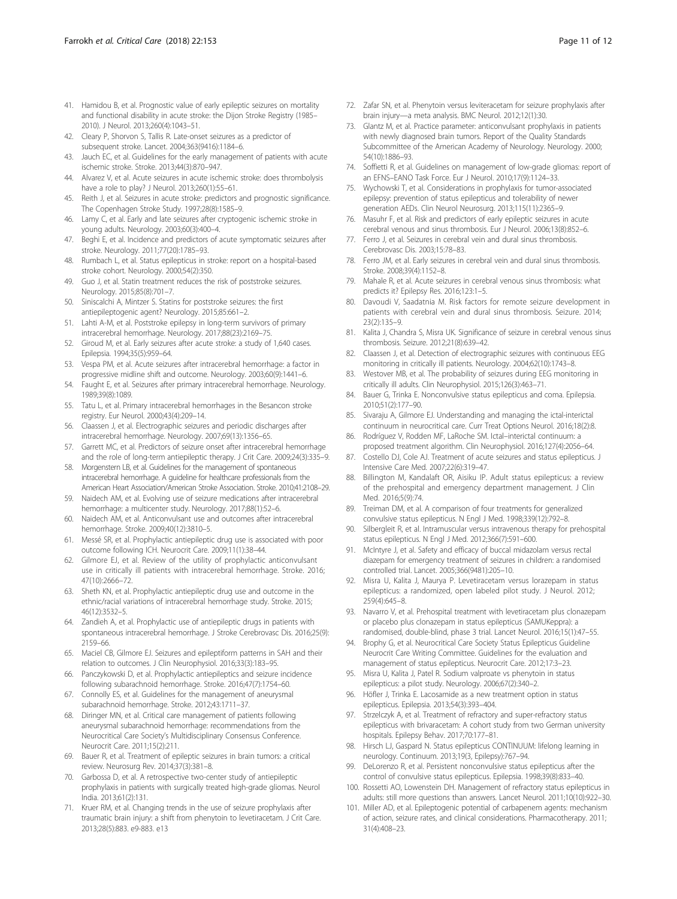- <span id="page-10-0"></span>41. Hamidou B, et al. Prognostic value of early epileptic seizures on mortality and functional disability in acute stroke: the Dijon Stroke Registry (1985– 2010). J Neurol. 2013;260(4):1043–51.
- 42. Cleary P, Shorvon S, Tallis R. Late-onset seizures as a predictor of subsequent stroke. Lancet. 2004;363(9416):1184–6.
- 43. Jauch EC, et al. Guidelines for the early management of patients with acute ischemic stroke. Stroke. 2013;44(3):870–947.
- 44. Alvarez V, et al. Acute seizures in acute ischemic stroke: does thrombolysis have a role to play? J Neurol. 2013;260(1):55–61.
- 45. Reith J, et al. Seizures in acute stroke: predictors and prognostic significance. The Copenhagen Stroke Study. 1997;28(8):1585–9.
- 46. Lamy C, et al. Early and late seizures after cryptogenic ischemic stroke in young adults. Neurology. 2003;60(3):400–4.
- 47. Beghi E, et al. Incidence and predictors of acute symptomatic seizures after stroke. Neurology. 2011;77(20):1785–93.
- 48. Rumbach L, et al. Status epilepticus in stroke: report on a hospital-based stroke cohort. Neurology. 2000;54(2):350.
- 49. Guo J, et al. Statin treatment reduces the risk of poststroke seizures. Neurology. 2015;85(8):701–7.
- 50. Siniscalchi A, Mintzer S. Statins for poststroke seizures: the first antiepileptogenic agent? Neurology. 2015;85:661–2.
- 51. Lahti A-M, et al. Poststroke epilepsy in long-term survivors of primary intracerebral hemorrhage. Neurology. 2017;88(23):2169–75.
- 52. Giroud M, et al. Early seizures after acute stroke: a study of 1,640 cases. Epilepsia. 1994;35(5):959–64.
- 53. Vespa PM, et al. Acute seizures after intracerebral hemorrhage: a factor in progressive midline shift and outcome. Neurology. 2003;60(9):1441–6.
- 54. Faught E, et al. Seizures after primary intracerebral hemorrhage. Neurology. 1989;39(8):1089.
- 55. Tatu L, et al. Primary intracerebral hemorrhages in the Besancon stroke registry. Eur Neurol. 2000;43(4):209–14.
- 56. Claassen J, et al. Electrographic seizures and periodic discharges after intracerebral hemorrhage. Neurology. 2007;69(13):1356–65.
- 57. Garrett MC, et al. Predictors of seizure onset after intracerebral hemorrhage and the role of long-term antiepileptic therapy. J Crit Care. 2009;24(3):335–9.
- 58. Morgenstern LB, et al. Guidelines for the management of spontaneous intracerebral hemorrhage. A guideline for healthcare professionals from the American Heart Association/American Stroke Association. Stroke. 2010;41:2108–29.
- 59. Naidech AM, et al. Evolving use of seizure medications after intracerebral hemorrhage: a multicenter study. Neurology. 2017;88(1):52–6.
- 60. Naidech AM, et al. Anticonvulsant use and outcomes after intracerebral hemorrhage. Stroke. 2009;40(12):3810–5.
- 61. Messé SR, et al. Prophylactic antiepileptic drug use is associated with poor outcome following ICH. Neurocrit Care. 2009;11(1):38–44.
- 62. Gilmore EJ, et al. Review of the utility of prophylactic anticonvulsant use in critically ill patients with intracerebral hemorrhage. Stroke. 2016; 47(10):2666–72.
- 63. Sheth KN, et al. Prophylactic antiepileptic drug use and outcome in the ethnic/racial variations of intracerebral hemorrhage study. Stroke. 2015; 46(12):3532–5.
- 64. Zandieh A, et al. Prophylactic use of antiepileptic drugs in patients with spontaneous intracerebral hemorrhage. J Stroke Cerebrovasc Dis. 2016;25(9): 2159–66.
- 65. Maciel CB, Gilmore EJ. Seizures and epileptiform patterns in SAH and their relation to outcomes. J Clin Neurophysiol. 2016;33(3):183–95.
- 66. Panczykowski D, et al. Prophylactic antiepileptics and seizure incidence following subarachnoid hemorrhage. Stroke. 2016;47(7):1754–60.
- 67. Connolly ES, et al. Guidelines for the management of aneurysmal subarachnoid hemorrhage. Stroke. 2012;43:1711–37.
- 68. Diringer MN, et al. Critical care management of patients following aneurysmal subarachnoid hemorrhage: recommendations from the Neurocritical Care Society's Multidisciplinary Consensus Conference. Neurocrit Care. 2011;15(2):211.
- 69. Bauer R, et al. Treatment of epileptic seizures in brain tumors: a critical review. Neurosurg Rev. 2014;37(3):381–8.
- 70. Garbossa D, et al. A retrospective two-center study of antiepileptic prophylaxis in patients with surgically treated high-grade gliomas. Neurol India. 2013;61(2):131.
- 71. Kruer RM, et al. Changing trends in the use of seizure prophylaxis after traumatic brain injury: a shift from phenytoin to levetiracetam. J Crit Care. 2013;28(5):883. e9-883. e13
- 72. Zafar SN, et al. Phenytoin versus leviteracetam for seizure prophylaxis after brain injury—a meta analysis. BMC Neurol. 2012;12(1):30.
- 73. Glantz M, et al. Practice parameter: anticonvulsant prophylaxis in patients with newly diagnosed brain tumors. Report of the Quality Standards Subcommittee of the American Academy of Neurology. Neurology. 2000; 54(10):1886–93.
- 74. Soffietti R, et al. Guidelines on management of low-grade gliomas: report of an EFNS–EANO Task Force. Eur J Neurol. 2010;17(9):1124–33.
- 75. Wychowski T, et al. Considerations in prophylaxis for tumor-associated epilepsy: prevention of status epilepticus and tolerability of newer generation AEDs. Clin Neurol Neurosurg. 2013;115(11):2365–9.
- 76. Masuhr F, et al. Risk and predictors of early epileptic seizures in acute cerebral venous and sinus thrombosis. Eur J Neurol. 2006;13(8):852–6.
- 77. Ferro J, et al. Seizures in cerebral vein and dural sinus thrombosis. Cerebrovasc Dis. 2003;15:78–83.
- Ferro JM, et al. Early seizures in cerebral vein and dural sinus thrombosis. Stroke. 2008;39(4):1152–8.
- 79. Mahale R, et al. Acute seizures in cerebral venous sinus thrombosis: what predicts it? Epilepsy Res. 2016;123:1–5.
- 80. Davoudi V, Saadatnia M. Risk factors for remote seizure development in patients with cerebral vein and dural sinus thrombosis. Seizure. 2014; 23(2):135–9.
- 81. Kalita J, Chandra S, Misra UK. Significance of seizure in cerebral venous sinus thrombosis. Seizure. 2012;21(8):639–42.
- Claassen J, et al. Detection of electrographic seizures with continuous EEG monitoring in critically ill patients. Neurology. 2004;62(10):1743–8.
- 83. Westover MB, et al. The probability of seizures during EEG monitoring in critically ill adults. Clin Neurophysiol. 2015;126(3):463–71.
- 84. Bauer G, Trinka E. Nonconvulsive status epilepticus and coma. Epilepsia. 2010;51(2):177–90.
- 85. Sivaraju A, Gilmore EJ. Understanding and managing the ictal-interictal continuum in neurocritical care. Curr Treat Options Neurol. 2016;18(2):8.
- 86. Rodríguez V, Rodden MF, LaRoche SM. Ictal–interictal continuum: a proposed treatment algorithm. Clin Neurophysiol. 2016;127(4):2056–64.
- 87. Costello DJ, Cole AJ. Treatment of acute seizures and status epilepticus. J Intensive Care Med. 2007;22(6):319–47.
- 88. Billington M, Kandalaft OR, Aisiku IP. Adult status epilepticus: a review of the prehospital and emergency department management. J Clin Med. 2016;5(9):74.
- 89. Treiman DM, et al. A comparison of four treatments for generalized convulsive status epilepticus. N Engl J Med. 1998;339(12):792–8.
- 90. Silbergleit R, et al. Intramuscular versus intravenous therapy for prehospital status epilepticus. N Engl J Med. 2012;366(7):591–600.
- 91. McIntyre J, et al. Safety and efficacy of buccal midazolam versus rectal diazepam for emergency treatment of seizures in children: a randomised controlled trial. Lancet. 2005;366(9481):205–10.
- 92. Misra U, Kalita J, Maurya P. Levetiracetam versus lorazepam in status epilepticus: a randomized, open labeled pilot study. J Neurol. 2012; 259(4):645–8.
- 93. Navarro V, et al. Prehospital treatment with levetiracetam plus clonazepam or placebo plus clonazepam in status epilepticus (SAMUKeppra): a randomised, double-blind, phase 3 trial. Lancet Neurol. 2016;15(1):47–55.
- 94. Brophy G, et al. Neurocritical Care Society Status Epilepticus Guideline Neurocrit Care Writing Committee. Guidelines for the evaluation and management of status epilepticus. Neurocrit Care. 2012;17:3–23.
- 95. Misra U, Kalita J, Patel R. Sodium valproate vs phenytoin in status epilepticus: a pilot study. Neurology. 2006;67(2):340–2.
- 96. Höfler J, Trinka E. Lacosamide as a new treatment option in status epilepticus. Epilepsia. 2013;54(3):393–404.
- 97. Strzelczyk A, et al. Treatment of refractory and super-refractory status epilepticus with brivaracetam: A cohort study from two German university hospitals. Epilepsy Behav. 2017;70:177–81.
- 98. Hirsch LJ, Gaspard N. Status epilepticus CONTINUUM: lifelong learning in neurology. Continuum. 2013;19(3, Epilepsy):767–94.
- 99. DeLorenzo R, et al. Persistent nonconvulsive status epilepticus after the control of convulsive status epilepticus. Epilepsia. 1998;39(8):833–40.
- 100. Rossetti AO, Lowenstein DH. Management of refractory status epilepticus in adults: still more questions than answers. Lancet Neurol. 2011;10(10):922–30.
- 101. Miller AD, et al. Epileptogenic potential of carbapenem agents: mechanism of action, seizure rates, and clinical considerations. Pharmacotherapy. 2011; 31(4):408–23.